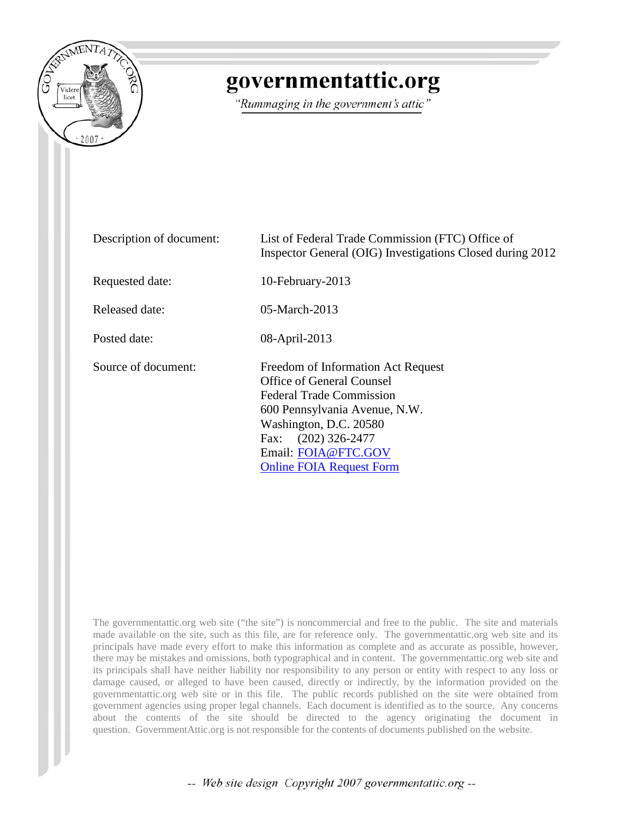

# governmentattic.org

"Rummaging in the government's attic"

| Description of document: | List of Federal Trade Commission (FTC) Office of<br>Inspector General (OIG) Investigations Closed during 2012                                                                                                                                              |
|--------------------------|------------------------------------------------------------------------------------------------------------------------------------------------------------------------------------------------------------------------------------------------------------|
| Requested date:          | 10-February-2013                                                                                                                                                                                                                                           |
| Released date:           | $05$ -March-2013                                                                                                                                                                                                                                           |
| Posted date:             | 08-April-2013                                                                                                                                                                                                                                              |
| Source of document:      | Freedom of Information Act Request<br><b>Office of General Counsel</b><br><b>Federal Trade Commission</b><br>600 Pennsylvania Avenue, N.W.<br>Washington, D.C. 20580<br>$(202)$ 326-2477<br>Fax:<br>Email: FOIA@FTC.GOV<br><b>Online FOIA Request Form</b> |

The governmentattic.org web site ("the site") is noncommercial and free to the public. The site and materials made available on the site, such as this file, are for reference only. The governmentattic.org web site and its principals have made every effort to make this information as complete and as accurate as possible, however, there may be mistakes and omissions, both typographical and in content. The governmentattic.org web site and its principals shall have neither liability nor responsibility to any person or entity with respect to any loss or damage caused, or alleged to have been caused, directly or indirectly, by the information provided on the governmentattic.org web site or in this file. The public records published on the site were obtained from government agencies using proper legal channels. Each document is identified as to the source. Any concerns about the contents of the site should be directed to the agency originating the document in question. GovernmentAttic.org is not responsible for the contents of documents published on the website.

-- Web site design Copyright 2007 governmentattic.org --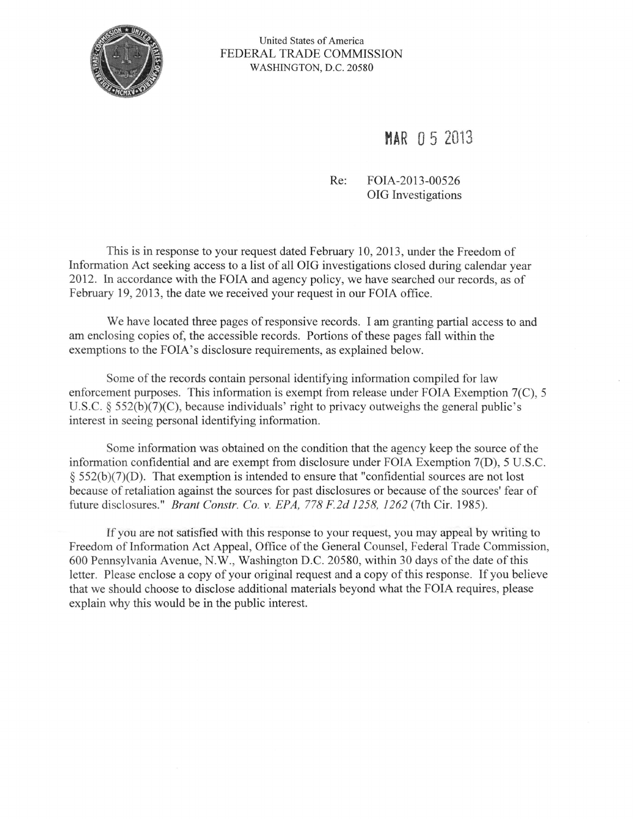

United States of America FEDERAL TRADE COMMISSION WASHINGTON, D.C. 20580

## MAR 05 2013

#### FOIA-2013-00526  $Re:$ OIG Investigations

This is in response to your request dated February 10, 2013, under the Freedom of Information Act seeking access to a list of all OIG investigations closed during calendar year 2012. In accordance with the FOIA and agency policy, we have searched our records, as of February 19, 2013, the date we received your request in our FOIA office.

We have located three pages of responsive records. I am granting partial access to and am enclosing copies of, the accessible records. Portions of these pages fall within the exemptions to the FOIA's disclosure requirements, as explained below.

Some of the records contain personal identifying information compiled for law enforcement purposes. This information is exempt from release under FOIA Exemption 7(C), 5 U.S.C.  $\S$  552(b)(7)(C), because individuals' right to privacy outweighs the general public's interest in seeing personal identifying information.

Some information was obtained on the condition that the agency keep the source of the information confidential and are exempt from disclosure under FOIA Exemption 7(D), 5 U.S.C.  $\S$  552(b)(7)(D). That exemption is intended to ensure that "confidential sources are not lost because of retaliation against the sources for past disclosures or because of the sources' fear of future disclosures." *Brant Constr. Co. v. EPA, 778 F.2d 1258, 1262 (7th Cir. 1985).* 

If you are not satisfied with this response to your request, you may appeal by writing to Freedom of Information Act Appeal, Office of the General Counsel, Federal Trade Commission, 600 Pennsylvania Avenue, N.W., Washington D.C. 20580, within 30 days of the date of this letter. Please enclose a copy of your original request and a copy of this response. If you believe that we should choose to disclose additional materials beyond what the FOIA requires, please explain why this would be in the public interest.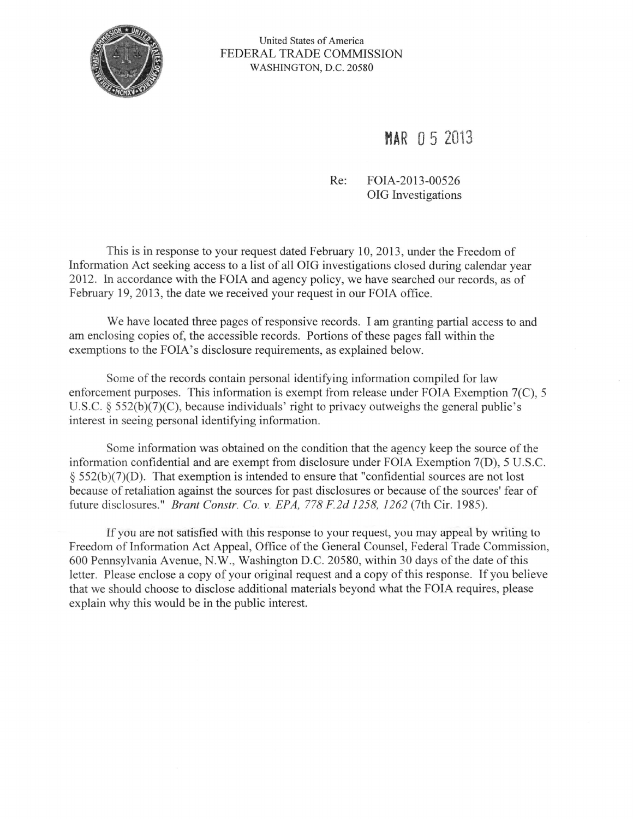

United States of America FEDERAL TRADE COMMISSION WASHINGTON, D.C. 20580

## MAR 05 2013

#### FOIA-2013-00526  $Re:$ OIG Investigations

This is in response to your request dated February 10, 2013, under the Freedom of Information Act seeking access to a list of all OIG investigations closed during calendar year 2012. In accordance with the FOIA and agency policy, we have searched our records, as of February 19, 2013, the date we received your request in our FOIA office.

We have located three pages of responsive records. I am granting partial access to and am enclosing copies of, the accessible records. Portions of these pages fall within the exemptions to the FOIA's disclosure requirements, as explained below.

Some of the records contain personal identifying information compiled for law enforcement purposes. This information is exempt from release under FOIA Exemption 7(C), 5 U.S.C.  $\S$  552(b)(7)(C), because individuals' right to privacy outweighs the general public's interest in seeing personal identifying information.

Some information was obtained on the condition that the agency keep the source of the information confidential and are exempt from disclosure under FOIA Exemption 7(D), 5 U.S.C.  $\S$  552(b)(7)(D). That exemption is intended to ensure that "confidential sources are not lost because of retaliation against the sources for past disclosures or because of the sources' fear of future disclosures." *Brant Constr. Co. v. EPA, 778 F.2d 1258, 1262 (7th Cir. 1985).* 

If you are not satisfied with this response to your request, you may appeal by writing to Freedom of Information Act Appeal, Office of the General Counsel, Federal Trade Commission, 600 Pennsylvania Avenue, N.W., Washington D.C. 20580, within 30 days of the date of this letter. Please enclose a copy of your original request and a copy of this response. If you believe that we should choose to disclose additional materials beyond what the FOIA requires, please explain why this would be in the public interest.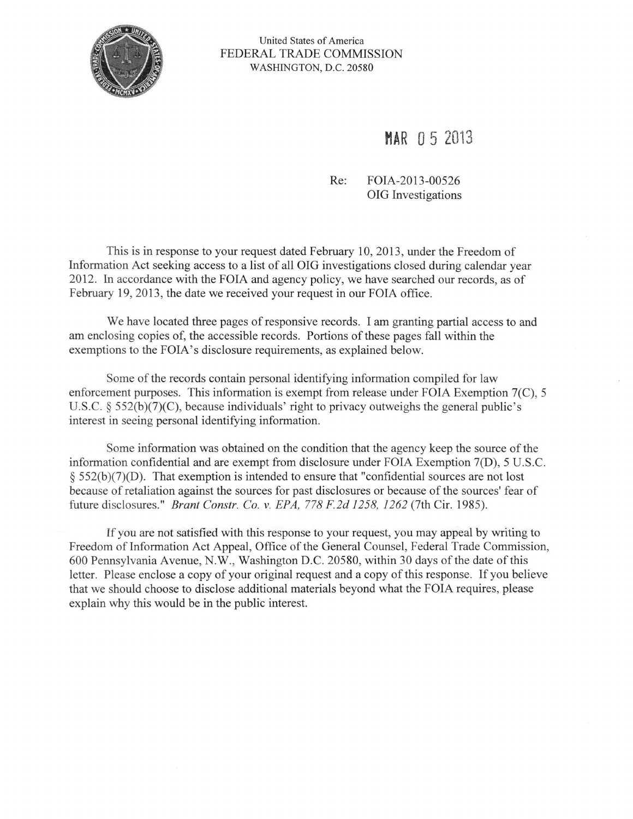

United States of America FEDERAL TRADE COMMISSION WASHINGTON, D.C. 20580

## **HAR** 0 5 2013

#### Re: FOIA-2013-00526 OIG Investigations

This is in response to your request dated February 10, 2013, under the Freedom of Information Act seeking access to a list of all OIG investigations closed during calendar year 2012. In accordance with the FOIA and agency policy, we have searched our records, as of February 19, 2013, the date we received your request in our FOIA office.

We have located three pages of responsive records. I am granting partial access to and am enclosing copies of, the accessible records. Portions of these pages fall within the exemptions to the FOIA's disclosure requirements, as explained below.

Some of the records contain personal identifying information compiled for law enforcement purposes. This information is exempt from release under FOIA Exemption 7(C), 5 U.S.C. § 552(b)(7)(C), because individuals' right to privacy outweighs the general public's interest in seeing personal identifying information.

Some information was obtained on the condition that the agency keep the source of the information confidential and are exempt from disclosure under FOIA Exemption 7(D), 5 U.S.C.  $\S$  552(b)(7)(D). That exemption is intended to ensure that "confidential sources are not lost because of retaliation against the sources for past disclosures or because of the sources' fear of future disclosures." *Brant Constr. Co. v. EPA, 778 F.2d 1258, 1262* (7th Cir. 1985).

If you are not satisfied with this response to your request, you may appeal by writing to Freedom of Information Act Appeal, Office of the General Counsel, Federal Trade Commission, 600 Pennsylvania Avenue, N.W., Washington D.C. 20580, within 30 days of the date of this letter. Please enclose a copy of your original request and a copy of this response. If you believe that we should choose to disclose additional materials beyond what the FOIA requires, please explain why this would be in the public interest.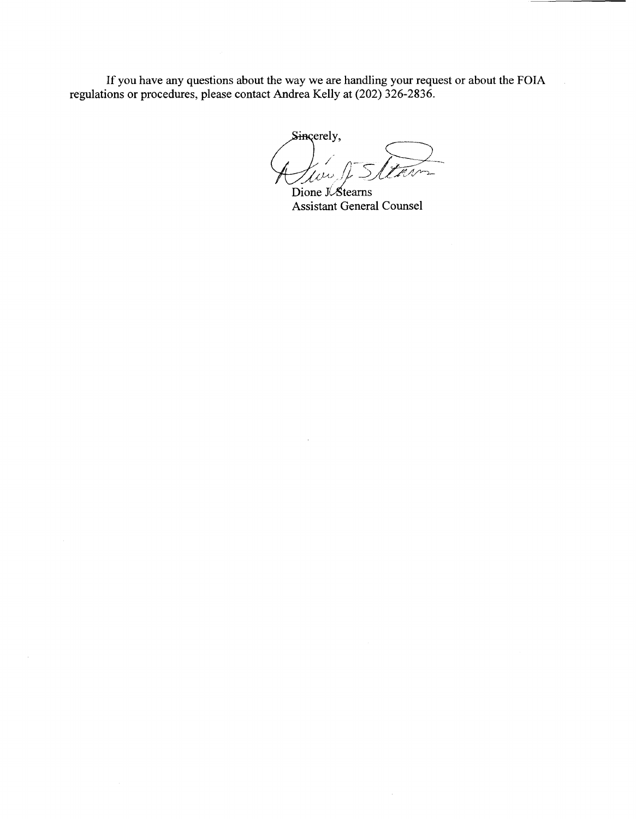If you have any questions about the way we are handling your request or about the FOIA regulations or procedures, please contact Andrea Kelly at (202) 326-2836.

Sincerely,

 $'$ lin

Dione J'Stearns Assistant General Counsel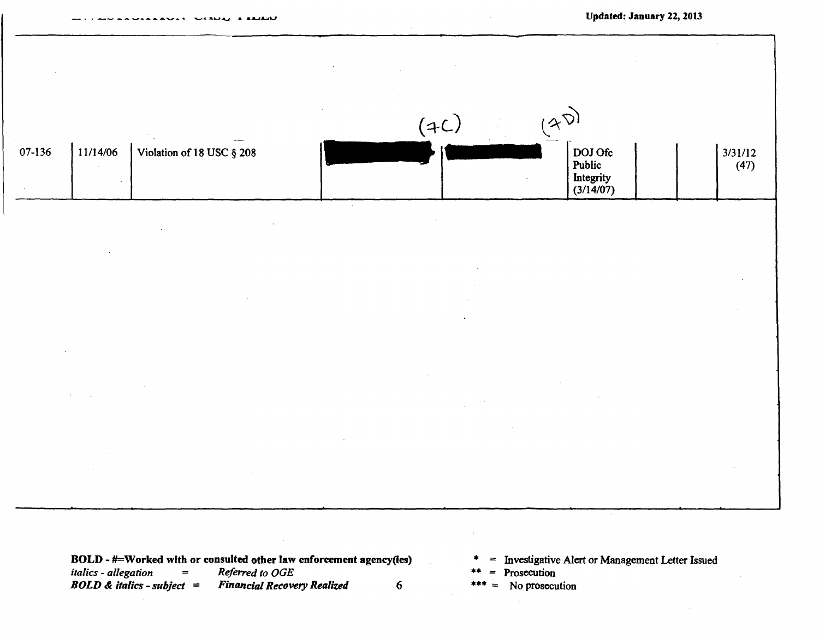| 07-136 | 11/14/06<br>$\sim$ | Violation of 18 USC § 208 |        | (4C) | $\overline{(\forall y)}$<br>DOJ Ofc<br>Public<br>Integrity<br>(3/14/07) | $\frac{3/31/12}{(47)}$ |
|--------|--------------------|---------------------------|--------|------|-------------------------------------------------------------------------|------------------------|
|        |                    |                           | $\sim$ |      |                                                                         |                        |
|        |                    |                           |        |      |                                                                         |                        |
|        |                    |                           |        |      |                                                                         |                        |
|        |                    |                           |        |      |                                                                         |                        |
|        |                    |                           |        |      |                                                                         |                        |
|        |                    |                           |        |      | $\sim 100$                                                              |                        |

BOLD- #=Worked with or consulted other law enforcement agency(ies) *italics* - *allegation* = *Referred to OGE Financial Recovery Realized* 6

\* = Investigative Alert or Management Letter Issued

= Prosecution

 $*** =$  No prosecution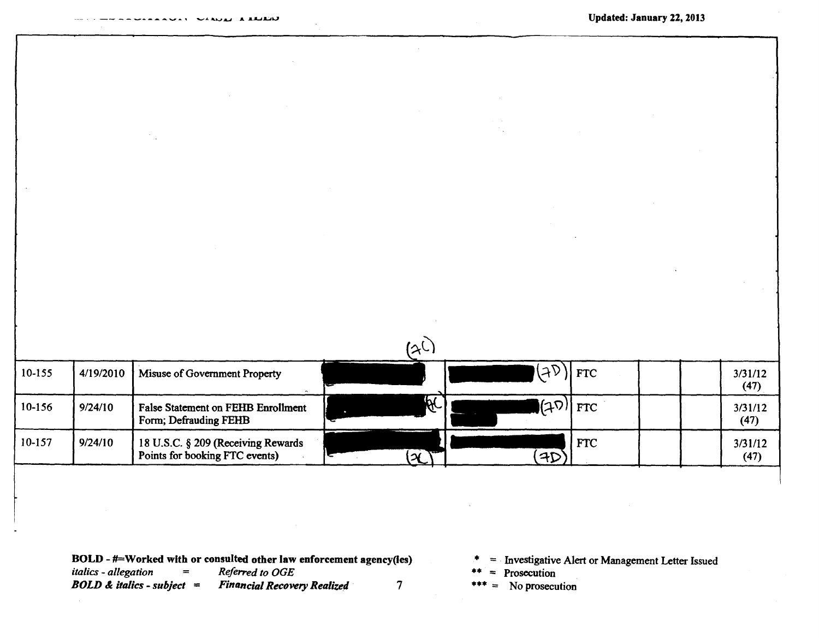|          | A AAJANU  |                                                                      |                             |                        | Updated: January 22, 2013 |  |                 |  |
|----------|-----------|----------------------------------------------------------------------|-----------------------------|------------------------|---------------------------|--|-----------------|--|
|          |           |                                                                      |                             |                        |                           |  |                 |  |
|          |           |                                                                      |                             |                        |                           |  |                 |  |
|          |           |                                                                      |                             |                        |                           |  |                 |  |
|          |           |                                                                      |                             |                        |                           |  |                 |  |
|          |           |                                                                      |                             |                        |                           |  |                 |  |
|          |           |                                                                      |                             |                        |                           |  |                 |  |
|          |           |                                                                      |                             |                        |                           |  |                 |  |
|          |           |                                                                      | $\mathcal{A}_{\mathcal{C}}$ |                        |                           |  |                 |  |
| 10-155   | 4/19/2010 | Misuse of Government Property                                        |                             | (৭১                    | <b>FTC</b>                |  | 3/31/12<br>(47) |  |
| 10-156   | 9/24/10   | False Statement on FEHB Enrollment<br>Form; Defrauding FEHB          | <b>AC</b>                   | $\sqrt{2D/\text{FTC}}$ |                           |  | 3/31/12<br>(47) |  |
| $10-157$ | 9/24/10   | 18 U.S.C. § 209 (Receiving Rewards<br>Points for booking FTC events) | $(\mathcal{X})$<br>≂        | (3D)                   | <b>FTC</b>                |  | 3/31/12<br>(47) |  |
|          |           |                                                                      |                             |                        |                           |  |                 |  |

BOLD -  $\#$ = Worked with or consulted other law enforcement agency(ies)  $*$  = Investigative Alert or Management Letter Issued<br>
italics - allegation = Referred to OGE \*\* = Prosecution *italics - allegation* = *Referred to OGE* \*\* = Prosecution<br> **BOLD & italics - subject = Financial Recovery Realized** 7 \*\*\* = No prosecution

*BOLD & italics - subject* =